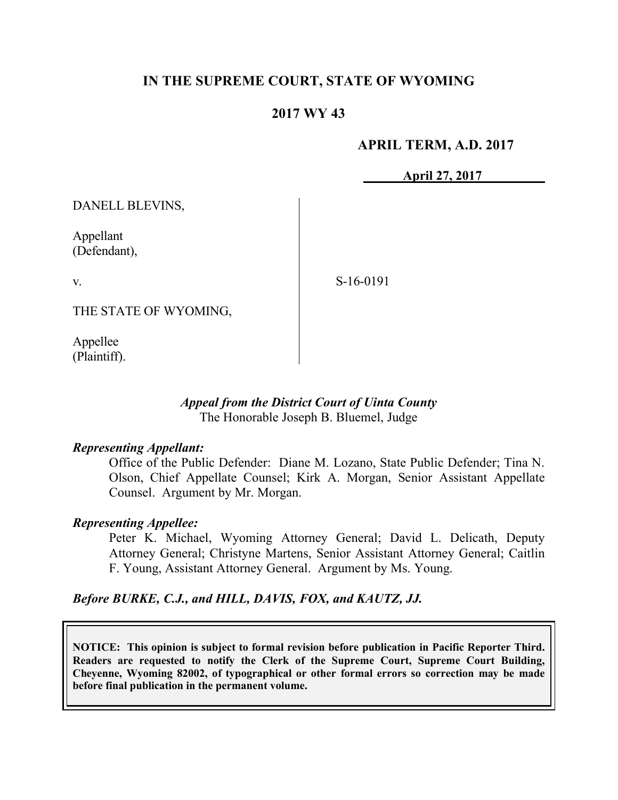# **IN THE SUPREME COURT, STATE OF WYOMING**

## **2017 WY 43**

#### **APRIL TERM, A.D. 2017**

**April 27, 2017**

DANELL BLEVINS,

Appellant (Defendant),

v.

S-16-0191

THE STATE OF WYOMING,

Appellee (Plaintiff).

#### *Appeal from the District Court of Uinta County* The Honorable Joseph B. Bluemel, Judge

#### *Representing Appellant:*

Office of the Public Defender: Diane M. Lozano, State Public Defender; Tina N. Olson, Chief Appellate Counsel; Kirk A. Morgan, Senior Assistant Appellate Counsel. Argument by Mr. Morgan.

#### *Representing Appellee:*

Peter K. Michael, Wyoming Attorney General; David L. Delicath, Deputy Attorney General; Christyne Martens, Senior Assistant Attorney General; Caitlin F. Young, Assistant Attorney General. Argument by Ms. Young.

*Before BURKE, C.J., and HILL, DAVIS, FOX, and KAUTZ, JJ.*

**NOTICE: This opinion is subject to formal revision before publication in Pacific Reporter Third. Readers are requested to notify the Clerk of the Supreme Court, Supreme Court Building, Cheyenne, Wyoming 82002, of typographical or other formal errors so correction may be made before final publication in the permanent volume.**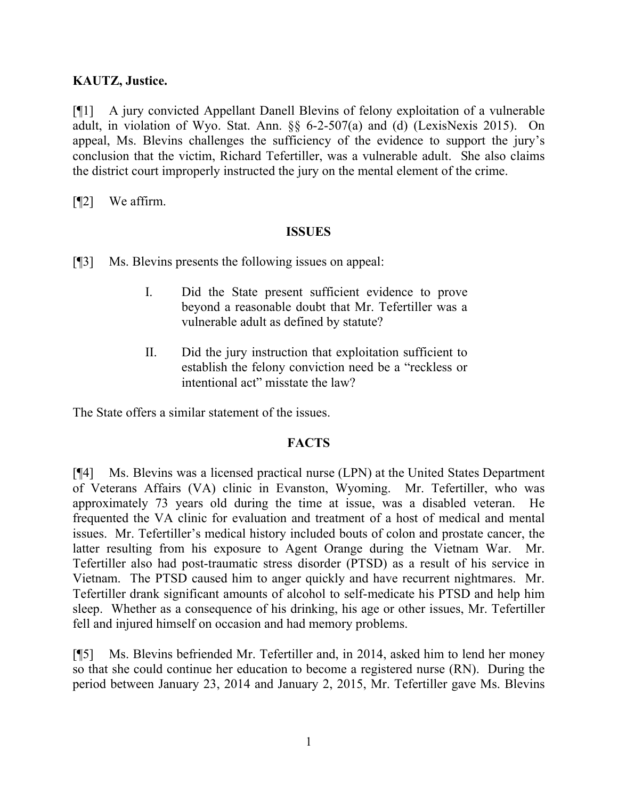## **KAUTZ, Justice.**

[¶1] A jury convicted Appellant Danell Blevins of felony exploitation of a vulnerable adult, in violation of Wyo. Stat. Ann. §§ 6-2-507(a) and (d) (LexisNexis 2015). On appeal, Ms. Blevins challenges the sufficiency of the evidence to support the jury's conclusion that the victim, Richard Tefertiller, was a vulnerable adult. She also claims the district court improperly instructed the jury on the mental element of the crime.

[¶2] We affirm.

## **ISSUES**

- [¶3] Ms. Blevins presents the following issues on appeal:
	- I. Did the State present sufficient evidence to prove beyond a reasonable doubt that Mr. Tefertiller was a vulnerable adult as defined by statute?
	- II. Did the jury instruction that exploitation sufficient to establish the felony conviction need be a "reckless or intentional act" misstate the law?

The State offers a similar statement of the issues.

## **FACTS**

[¶4] Ms. Blevins was a licensed practical nurse (LPN) at the United States Department of Veterans Affairs (VA) clinic in Evanston, Wyoming. Mr. Tefertiller, who was approximately 73 years old during the time at issue, was a disabled veteran. He frequented the VA clinic for evaluation and treatment of a host of medical and mental issues. Mr. Tefertiller's medical history included bouts of colon and prostate cancer, the latter resulting from his exposure to Agent Orange during the Vietnam War. Mr. Tefertiller also had post-traumatic stress disorder (PTSD) as a result of his service in Vietnam. The PTSD caused him to anger quickly and have recurrent nightmares. Mr. Tefertiller drank significant amounts of alcohol to self-medicate his PTSD and help him sleep. Whether as a consequence of his drinking, his age or other issues, Mr. Tefertiller fell and injured himself on occasion and had memory problems.

[¶5] Ms. Blevins befriended Mr. Tefertiller and, in 2014, asked him to lend her money so that she could continue her education to become a registered nurse (RN). During the period between January 23, 2014 and January 2, 2015, Mr. Tefertiller gave Ms. Blevins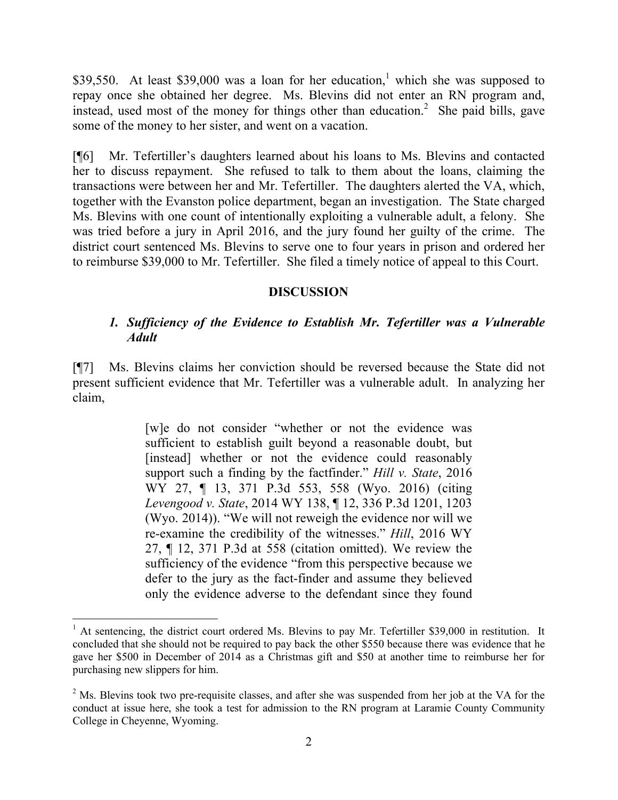$$39,550$ . At least  $$39,000$  was a loan for her education,<sup>1</sup> which she was supposed to repay once she obtained her degree. Ms. Blevins did not enter an RN program and, instead, used most of the money for things other than education.<sup>2</sup> She paid bills, gave some of the money to her sister, and went on a vacation.

[¶6] Mr. Tefertiller's daughters learned about his loans to Ms. Blevins and contacted her to discuss repayment. She refused to talk to them about the loans, claiming the transactions were between her and Mr. Tefertiller. The daughters alerted the VA, which, together with the Evanston police department, began an investigation. The State charged Ms. Blevins with one count of intentionally exploiting a vulnerable adult, a felony. She was tried before a jury in April 2016, and the jury found her guilty of the crime. The district court sentenced Ms. Blevins to serve one to four years in prison and ordered her to reimburse \$39,000 to Mr. Tefertiller. She filed a timely notice of appeal to this Court.

#### **DISCUSSION**

#### *1. Sufficiency of the Evidence to Establish Mr. Tefertiller was a Vulnerable Adult*

[¶7] Ms. Blevins claims her conviction should be reversed because the State did not present sufficient evidence that Mr. Tefertiller was a vulnerable adult. In analyzing her claim,

> [w]e do not consider "whether or not the evidence was sufficient to establish guilt beyond a reasonable doubt, but [instead] whether or not the evidence could reasonably support such a finding by the factfinder." *Hill v. State*, 2016 WY 27, ¶ 13, 371 P.3d 553, 558 (Wyo. 2016) (citing *Levengood v. State*, 2014 WY 138, ¶ 12, 336 P.3d 1201, 1203 (Wyo. 2014)). "We will not reweigh the evidence nor will we re-examine the credibility of the witnesses." *Hill*, 2016 WY 27, ¶ 12, 371 P.3d at 558 (citation omitted). We review the sufficiency of the evidence "from this perspective because we defer to the jury as the fact-finder and assume they believed only the evidence adverse to the defendant since they found

l

 $1$  At sentencing, the district court ordered Ms. Blevins to pay Mr. Tefertiller \$39,000 in restitution. It concluded that she should not be required to pay back the other \$550 because there was evidence that he gave her \$500 in December of 2014 as a Christmas gift and \$50 at another time to reimburse her for purchasing new slippers for him.

<sup>&</sup>lt;sup>2</sup> Ms. Blevins took two pre-requisite classes, and after she was suspended from her job at the VA for the conduct at issue here, she took a test for admission to the RN program at Laramie County Community College in Cheyenne, Wyoming.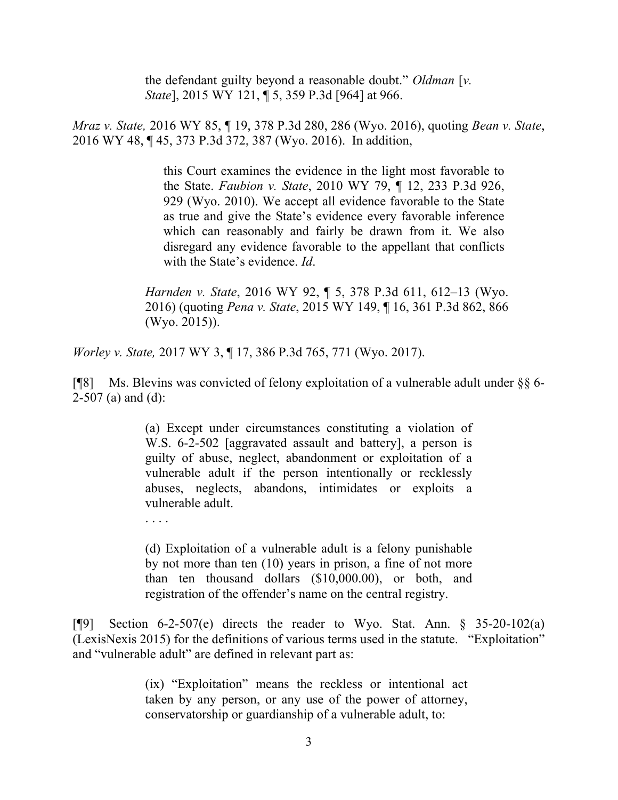the defendant guilty beyond a reasonable doubt." *Oldman* [*v. State*], 2015 WY 121, ¶ 5, 359 P.3d [964] at 966.

*Mraz v. State,* 2016 WY 85, ¶ 19, 378 P.3d 280, 286 (Wyo. 2016), quoting *Bean v. State*, 2016 WY 48, ¶ 45, 373 P.3d 372, 387 (Wyo. 2016). In addition,

> this Court examines the evidence in the light most favorable to the State. *Faubion v. State*, 2010 WY 79, ¶ 12, 233 P.3d 926, 929 (Wyo. 2010). We accept all evidence favorable to the State as true and give the State's evidence every favorable inference which can reasonably and fairly be drawn from it. We also disregard any evidence favorable to the appellant that conflicts with the State's evidence. *Id*.

*Harnden v. State*, 2016 WY 92, ¶ 5, 378 P.3d 611, 612–13 (Wyo. 2016) (quoting *Pena v. State*, 2015 WY 149, ¶ 16, 361 P.3d 862, 866 (Wyo. 2015)).

*Worley v. State,* 2017 WY 3, ¶ 17, 386 P.3d 765, 771 (Wyo. 2017).

[¶8] Ms. Blevins was convicted of felony exploitation of a vulnerable adult under  $\S$ § 6- $2-507$  (a) and (d):

> (a) Except under circumstances constituting a violation of W.S. 6-2-502 [aggravated assault and battery], a person is guilty of abuse, neglect, abandonment or exploitation of a vulnerable adult if the person intentionally or recklessly abuses, neglects, abandons, intimidates or exploits a vulnerable adult.

(d) Exploitation of a vulnerable adult is a felony punishable by not more than ten (10) years in prison, a fine of not more than ten thousand dollars (\$10,000.00), or both, and registration of the offender's name on the central registry.

[ $\degree$ [9] Section 6-2-507(e) directs the reader to Wyo. Stat. Ann. § 35-20-102(a) (LexisNexis 2015) for the definitions of various terms used in the statute. "Exploitation" and "vulnerable adult" are defined in relevant part as:

> (ix) "Exploitation" means the reckless or intentional act taken by any person, or any use of the power of attorney, conservatorship or guardianship of a vulnerable adult, to: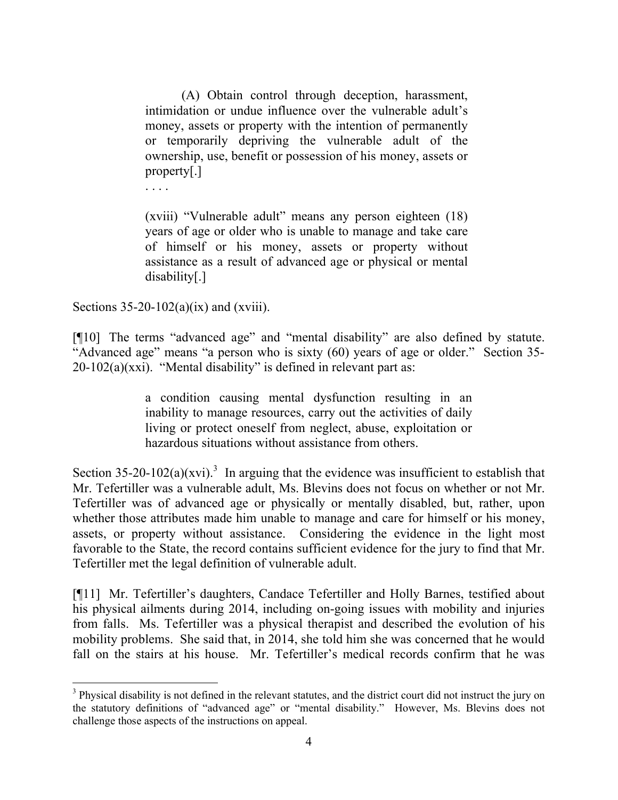(A) Obtain control through deception, harassment, intimidation or undue influence over the vulnerable adult's money, assets or property with the intention of permanently or temporarily depriving the vulnerable adult of the ownership, use, benefit or possession of his money, assets or property[.]

. . . .

(xviii) "Vulnerable adult" means any person eighteen (18) years of age or older who is unable to manage and take care of himself or his money, assets or property without assistance as a result of advanced age or physical or mental disability[.]

Sections  $35-20-102(a)(ix)$  and (xviii).

l

[¶10] The terms "advanced age" and "mental disability" are also defined by statute. "Advanced age" means "a person who is sixty (60) years of age or older." Section 35-  $20-102(a)(xxi)$ . "Mental disability" is defined in relevant part as:

> a condition causing mental dysfunction resulting in an inability to manage resources, carry out the activities of daily living or protect oneself from neglect, abuse, exploitation or hazardous situations without assistance from others.

Section 35-20-102(a)(xvi).<sup>3</sup> In arguing that the evidence was insufficient to establish that Mr. Tefertiller was a vulnerable adult, Ms. Blevins does not focus on whether or not Mr. Tefertiller was of advanced age or physically or mentally disabled, but, rather, upon whether those attributes made him unable to manage and care for himself or his money, assets, or property without assistance. Considering the evidence in the light most favorable to the State, the record contains sufficient evidence for the jury to find that Mr. Tefertiller met the legal definition of vulnerable adult.

[¶11] Mr. Tefertiller's daughters, Candace Tefertiller and Holly Barnes, testified about his physical ailments during 2014, including on-going issues with mobility and injuries from falls. Ms. Tefertiller was a physical therapist and described the evolution of his mobility problems. She said that, in 2014, she told him she was concerned that he would fall on the stairs at his house. Mr. Tefertiller's medical records confirm that he was

<sup>&</sup>lt;sup>3</sup> Physical disability is not defined in the relevant statutes, and the district court did not instruct the jury on the statutory definitions of "advanced age" or "mental disability." However, Ms. Blevins does not challenge those aspects of the instructions on appeal.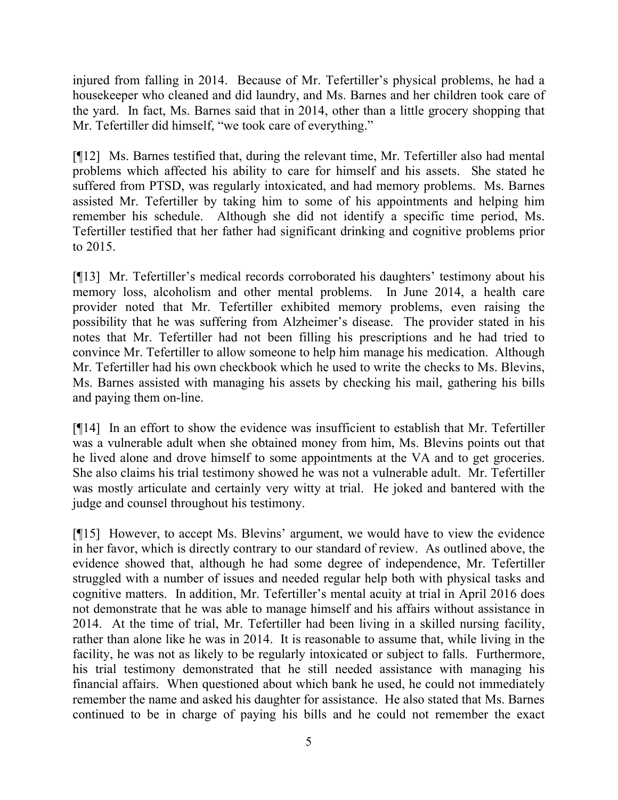injured from falling in 2014. Because of Mr. Tefertiller's physical problems, he had a housekeeper who cleaned and did laundry, and Ms. Barnes and her children took care of the yard. In fact, Ms. Barnes said that in 2014, other than a little grocery shopping that Mr. Tefertiller did himself, "we took care of everything."

[¶12] Ms. Barnes testified that, during the relevant time, Mr. Tefertiller also had mental problems which affected his ability to care for himself and his assets. She stated he suffered from PTSD, was regularly intoxicated, and had memory problems. Ms. Barnes assisted Mr. Tefertiller by taking him to some of his appointments and helping him remember his schedule. Although she did not identify a specific time period, Ms. Tefertiller testified that her father had significant drinking and cognitive problems prior to 2015.

[¶13] Mr. Tefertiller's medical records corroborated his daughters' testimony about his memory loss, alcoholism and other mental problems. In June 2014, a health care provider noted that Mr. Tefertiller exhibited memory problems, even raising the possibility that he was suffering from Alzheimer's disease. The provider stated in his notes that Mr. Tefertiller had not been filling his prescriptions and he had tried to convince Mr. Tefertiller to allow someone to help him manage his medication. Although Mr. Tefertiller had his own checkbook which he used to write the checks to Ms. Blevins, Ms. Barnes assisted with managing his assets by checking his mail, gathering his bills and paying them on-line.

[¶14] In an effort to show the evidence was insufficient to establish that Mr. Tefertiller was a vulnerable adult when she obtained money from him, Ms. Blevins points out that he lived alone and drove himself to some appointments at the VA and to get groceries. She also claims his trial testimony showed he was not a vulnerable adult. Mr. Tefertiller was mostly articulate and certainly very witty at trial. He joked and bantered with the judge and counsel throughout his testimony.

[¶15] However, to accept Ms. Blevins' argument, we would have to view the evidence in her favor, which is directly contrary to our standard of review. As outlined above, the evidence showed that, although he had some degree of independence, Mr. Tefertiller struggled with a number of issues and needed regular help both with physical tasks and cognitive matters. In addition, Mr. Tefertiller's mental acuity at trial in April 2016 does not demonstrate that he was able to manage himself and his affairs without assistance in 2014. At the time of trial, Mr. Tefertiller had been living in a skilled nursing facility, rather than alone like he was in 2014. It is reasonable to assume that, while living in the facility, he was not as likely to be regularly intoxicated or subject to falls. Furthermore, his trial testimony demonstrated that he still needed assistance with managing his financial affairs. When questioned about which bank he used, he could not immediately remember the name and asked his daughter for assistance. He also stated that Ms. Barnes continued to be in charge of paying his bills and he could not remember the exact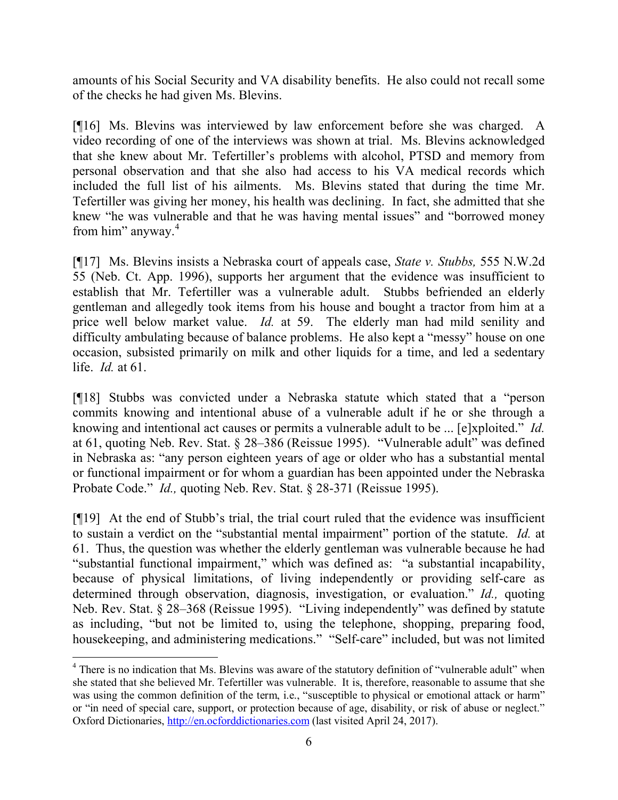amounts of his Social Security and VA disability benefits. He also could not recall some of the checks he had given Ms. Blevins.

[¶16] Ms. Blevins was interviewed by law enforcement before she was charged. A video recording of one of the interviews was shown at trial. Ms. Blevins acknowledged that she knew about Mr. Tefertiller's problems with alcohol, PTSD and memory from personal observation and that she also had access to his VA medical records which included the full list of his ailments. Ms. Blevins stated that during the time Mr. Tefertiller was giving her money, his health was declining. In fact, she admitted that she knew "he was vulnerable and that he was having mental issues" and "borrowed money from him" anyway.<sup>4</sup>

[¶17] Ms. Blevins insists a Nebraska court of appeals case, *State v. Stubbs,* 555 N.W.2d 55 (Neb. Ct. App. 1996), supports her argument that the evidence was insufficient to establish that Mr. Tefertiller was a vulnerable adult. Stubbs befriended an elderly gentleman and allegedly took items from his house and bought a tractor from him at a price well below market value. *Id.* at 59. The elderly man had mild senility and difficulty ambulating because of balance problems. He also kept a "messy" house on one occasion, subsisted primarily on milk and other liquids for a time, and led a sedentary life. *Id.* at 61.

[¶18] Stubbs was convicted under a Nebraska statute which stated that a "person commits knowing and intentional abuse of a vulnerable adult if he or she through a knowing and intentional act causes or permits a vulnerable adult to be ... [e]xploited." *Id.*  at 61, quoting Neb. Rev. Stat. § 28–386 (Reissue 1995). "Vulnerable adult" was defined in Nebraska as: "any person eighteen years of age or older who has a substantial mental or functional impairment or for whom a guardian has been appointed under the Nebraska Probate Code." *Id.,* quoting Neb. Rev. Stat. § 28-371 (Reissue 1995).

[¶19] At the end of Stubb's trial, the trial court ruled that the evidence was insufficient to sustain a verdict on the "substantial mental impairment" portion of the statute. *Id.* at 61. Thus, the question was whether the elderly gentleman was vulnerable because he had "substantial functional impairment," which was defined as: "a substantial incapability, because of physical limitations, of living independently or providing self-care as determined through observation, diagnosis, investigation, or evaluation." *Id.,* quoting Neb. Rev. Stat. § 28–368 (Reissue 1995). "Living independently" was defined by statute as including, "but not be limited to, using the telephone, shopping, preparing food, housekeeping, and administering medications." "Self-care" included, but was not limited

 $\overline{a}$ 

<sup>&</sup>lt;sup>4</sup> There is no indication that Ms. Blevins was aware of the statutory definition of "vulnerable adult" when she stated that she believed Mr. Tefertiller was vulnerable. It is, therefore, reasonable to assume that she was using the common definition of the term, i.e., "susceptible to physical or emotional attack or harm" or "in need of special care, support, or protection because of age, disability, or risk of abuse or neglect." Oxford Dictionaries, http://en.ocforddictionaries.com (last visited April 24, 2017).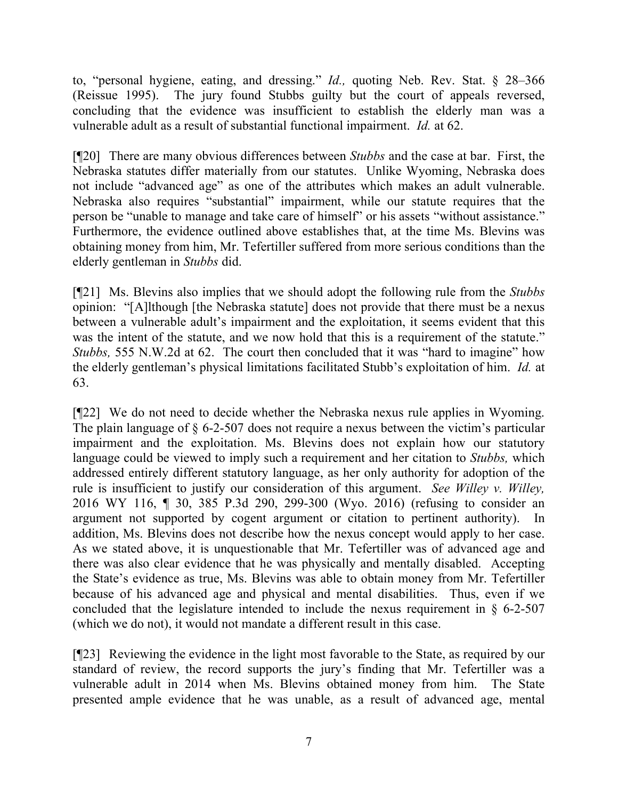to, "personal hygiene, eating, and dressing." *Id.,* quoting Neb. Rev. Stat. § 28–366 (Reissue 1995). The jury found Stubbs guilty but the court of appeals reversed, concluding that the evidence was insufficient to establish the elderly man was a vulnerable adult as a result of substantial functional impairment. *Id.* at 62.

[¶20] There are many obvious differences between *Stubbs* and the case at bar. First, the Nebraska statutes differ materially from our statutes. Unlike Wyoming, Nebraska does not include "advanced age" as one of the attributes which makes an adult vulnerable. Nebraska also requires "substantial" impairment, while our statute requires that the person be "unable to manage and take care of himself" or his assets "without assistance." Furthermore, the evidence outlined above establishes that, at the time Ms. Blevins was obtaining money from him, Mr. Tefertiller suffered from more serious conditions than the elderly gentleman in *Stubbs* did.

[¶21] Ms. Blevins also implies that we should adopt the following rule from the *Stubbs*  opinion: "[A]lthough [the Nebraska statute] does not provide that there must be a nexus between a vulnerable adult's impairment and the exploitation, it seems evident that this was the intent of the statute, and we now hold that this is a requirement of the statute." *Stubbs,* 555 N.W.2d at 62. The court then concluded that it was "hard to imagine" how the elderly gentleman's physical limitations facilitated Stubb's exploitation of him. *Id.* at 63.

[¶22] We do not need to decide whether the Nebraska nexus rule applies in Wyoming. The plain language of § 6-2-507 does not require a nexus between the victim's particular impairment and the exploitation. Ms. Blevins does not explain how our statutory language could be viewed to imply such a requirement and her citation to *Stubbs,* which addressed entirely different statutory language, as her only authority for adoption of the rule is insufficient to justify our consideration of this argument. *See Willey v. Willey,*  2016 WY 116, ¶ 30, 385 P.3d 290, 299-300 (Wyo. 2016) (refusing to consider an argument not supported by cogent argument or citation to pertinent authority). In addition, Ms. Blevins does not describe how the nexus concept would apply to her case. As we stated above, it is unquestionable that Mr. Tefertiller was of advanced age and there was also clear evidence that he was physically and mentally disabled. Accepting the State's evidence as true, Ms. Blevins was able to obtain money from Mr. Tefertiller because of his advanced age and physical and mental disabilities. Thus, even if we concluded that the legislature intended to include the nexus requirement in  $\S$  6-2-507 (which we do not), it would not mandate a different result in this case.

[¶23] Reviewing the evidence in the light most favorable to the State, as required by our standard of review, the record supports the jury's finding that Mr. Tefertiller was a vulnerable adult in 2014 when Ms. Blevins obtained money from him. The State presented ample evidence that he was unable, as a result of advanced age, mental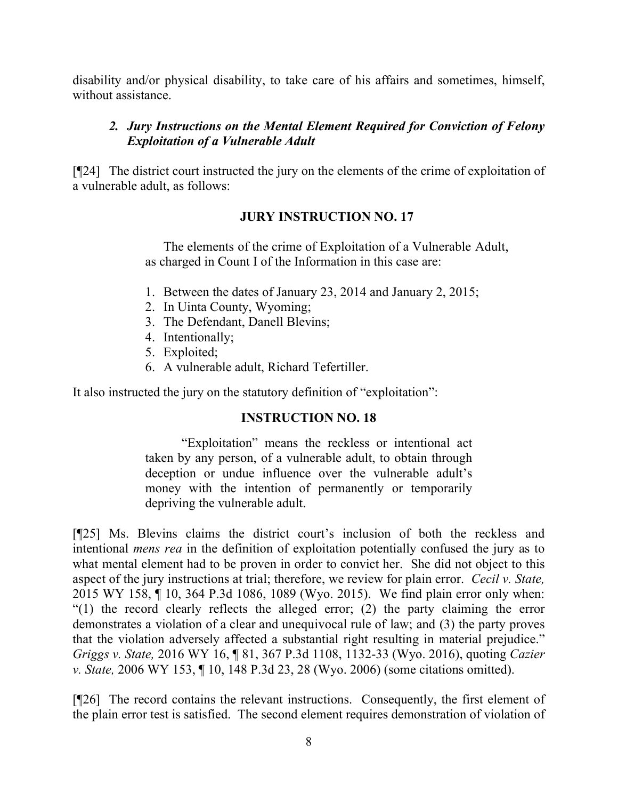disability and/or physical disability, to take care of his affairs and sometimes, himself, without assistance.

# *2. Jury Instructions on the Mental Element Required for Conviction of Felony Exploitation of a Vulnerable Adult*

[¶24] The district court instructed the jury on the elements of the crime of exploitation of a vulnerable adult, as follows:

# **JURY INSTRUCTION NO. 17**

The elements of the crime of Exploitation of a Vulnerable Adult, as charged in Count I of the Information in this case are:

- 1. Between the dates of January 23, 2014 and January 2, 2015;
- 2. In Uinta County, Wyoming;
- 3. The Defendant, Danell Blevins;
- 4. Intentionally;
- 5. Exploited;
- 6. A vulnerable adult, Richard Tefertiller.

It also instructed the jury on the statutory definition of "exploitation":

## **INSTRUCTION NO. 18**

"Exploitation" means the reckless or intentional act taken by any person, of a vulnerable adult, to obtain through deception or undue influence over the vulnerable adult's money with the intention of permanently or temporarily depriving the vulnerable adult.

[¶25] Ms. Blevins claims the district court's inclusion of both the reckless and intentional *mens rea* in the definition of exploitation potentially confused the jury as to what mental element had to be proven in order to convict her. She did not object to this aspect of the jury instructions at trial; therefore, we review for plain error. *Cecil v. State,*  2015 WY 158, ¶ 10, 364 P.3d 1086, 1089 (Wyo. 2015). We find plain error only when: "(1) the record clearly reflects the alleged error; (2) the party claiming the error demonstrates a violation of a clear and unequivocal rule of law; and (3) the party proves that the violation adversely affected a substantial right resulting in material prejudice." *Griggs v. State,* 2016 WY 16, ¶ 81, 367 P.3d 1108, 1132-33 (Wyo. 2016), quoting *Cazier v. State,* 2006 WY 153, ¶ 10, 148 P.3d 23, 28 (Wyo. 2006) (some citations omitted).

[¶26] The record contains the relevant instructions. Consequently, the first element of the plain error test is satisfied. The second element requires demonstration of violation of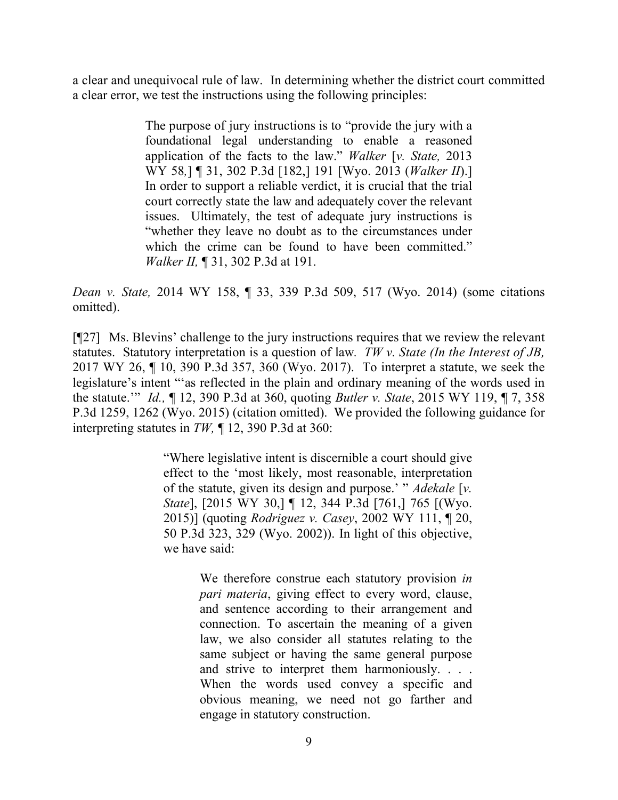a clear and unequivocal rule of law. In determining whether the district court committed a clear error, we test the instructions using the following principles:

> The purpose of jury instructions is to "provide the jury with a foundational legal understanding to enable a reasoned application of the facts to the law." *Walker* [*v. State,* 2013 WY 58*,*] ¶ 31, 302 P.3d [182,] 191 [Wyo. 2013 (*Walker II*).] In order to support a reliable verdict, it is crucial that the trial court correctly state the law and adequately cover the relevant issues. Ultimately, the test of adequate jury instructions is "whether they leave no doubt as to the circumstances under which the crime can be found to have been committed." *Walker II,* ¶ 31, 302 P.3d at 191.

*Dean v. State,* 2014 WY 158, ¶ 33, 339 P.3d 509, 517 (Wyo. 2014) (some citations omitted).

[¶27] Ms. Blevins' challenge to the jury instructions requires that we review the relevant statutes. Statutory interpretation is a question of law*. TW v. State (In the Interest of JB,*  2017 WY 26, ¶ 10, 390 P.3d 357, 360 (Wyo. 2017). To interpret a statute, we seek the legislature's intent "'as reflected in the plain and ordinary meaning of the words used in the statute.'" *Id.,* ¶ 12, 390 P.3d at 360, quoting *Butler v. State*, 2015 WY 119, ¶ 7, 358 P.3d 1259, 1262 (Wyo. 2015) (citation omitted). We provided the following guidance for interpreting statutes in *TW,* ¶ 12, 390 P.3d at 360:

> "Where legislative intent is discernible a court should give effect to the 'most likely, most reasonable, interpretation of the statute, given its design and purpose.' " *Adekale* [*v. State*], [2015 WY 30,] ¶ 12, 344 P.3d [761,] 765 [(Wyo. 2015)] (quoting *Rodriguez v. Casey*, 2002 WY 111, ¶ 20, 50 P.3d 323, 329 (Wyo. 2002)). In light of this objective, we have said:

> > We therefore construe each statutory provision *in pari materia*, giving effect to every word, clause, and sentence according to their arrangement and connection. To ascertain the meaning of a given law, we also consider all statutes relating to the same subject or having the same general purpose and strive to interpret them harmoniously. . . . When the words used convey a specific and obvious meaning, we need not go farther and engage in statutory construction.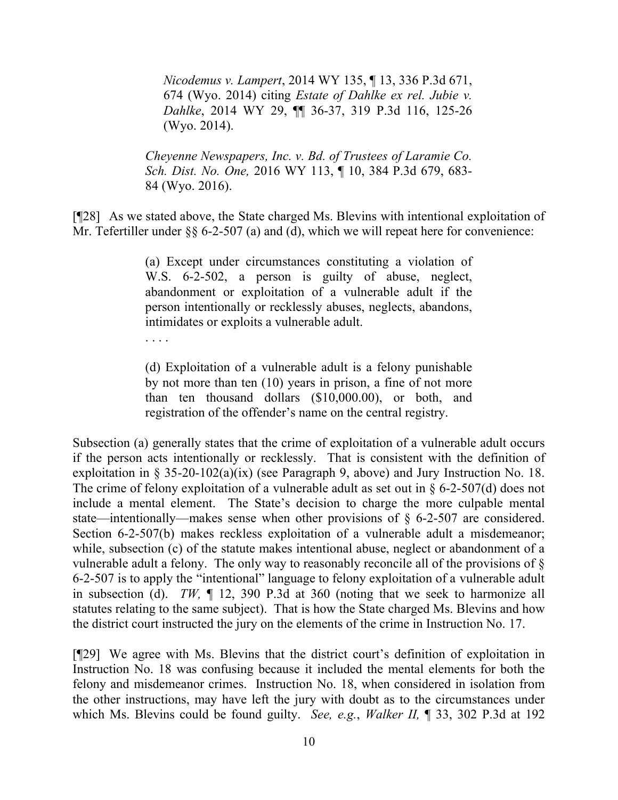*Nicodemus v. Lampert*, 2014 WY 135, ¶ 13, 336 P.3d 671, 674 (Wyo. 2014) citing *Estate of Dahlke ex rel. Jubie v. Dahlke*, 2014 WY 29, ¶¶ 36-37, 319 P.3d 116, 125-26 (Wyo. 2014).

*Cheyenne Newspapers, Inc. v. Bd. of Trustees of Laramie Co. Sch. Dist. No. One,* 2016 WY 113, ¶ 10, 384 P.3d 679, 683- 84 (Wyo. 2016).

[¶28] As we stated above, the State charged Ms. Blevins with intentional exploitation of Mr. Tefertiller under §§ 6-2-507 (a) and (d), which we will repeat here for convenience:

> (a) Except under circumstances constituting a violation of W.S. 6-2-502, a person is guilty of abuse, neglect, abandonment or exploitation of a vulnerable adult if the person intentionally or recklessly abuses, neglects, abandons, intimidates or exploits a vulnerable adult.

. . . .

(d) Exploitation of a vulnerable adult is a felony punishable by not more than ten (10) years in prison, a fine of not more than ten thousand dollars (\$10,000.00), or both, and registration of the offender's name on the central registry.

Subsection (a) generally states that the crime of exploitation of a vulnerable adult occurs if the person acts intentionally or recklessly. That is consistent with the definition of exploitation in  $\S 35{\text -}20{\text -}102(a)(ix)$  (see Paragraph 9, above) and Jury Instruction No. 18. The crime of felony exploitation of a vulnerable adult as set out in  $\S$  6-2-507(d) does not include a mental element. The State's decision to charge the more culpable mental state—intentionally—makes sense when other provisions of § 6-2-507 are considered. Section 6-2-507(b) makes reckless exploitation of a vulnerable adult a misdemeanor; while, subsection (c) of the statute makes intentional abuse, neglect or abandonment of a vulnerable adult a felony. The only way to reasonably reconcile all of the provisions of § 6-2-507 is to apply the "intentional" language to felony exploitation of a vulnerable adult in subsection (d). *TW,* ¶ 12, 390 P.3d at 360 (noting that we seek to harmonize all statutes relating to the same subject). That is how the State charged Ms. Blevins and how the district court instructed the jury on the elements of the crime in Instruction No. 17.

[¶29] We agree with Ms. Blevins that the district court's definition of exploitation in Instruction No. 18 was confusing because it included the mental elements for both the felony and misdemeanor crimes. Instruction No. 18, when considered in isolation from the other instructions, may have left the jury with doubt as to the circumstances under which Ms. Blevins could be found guilty. *See, e.g.*, *Walker II,* ¶ 33, 302 P.3d at 192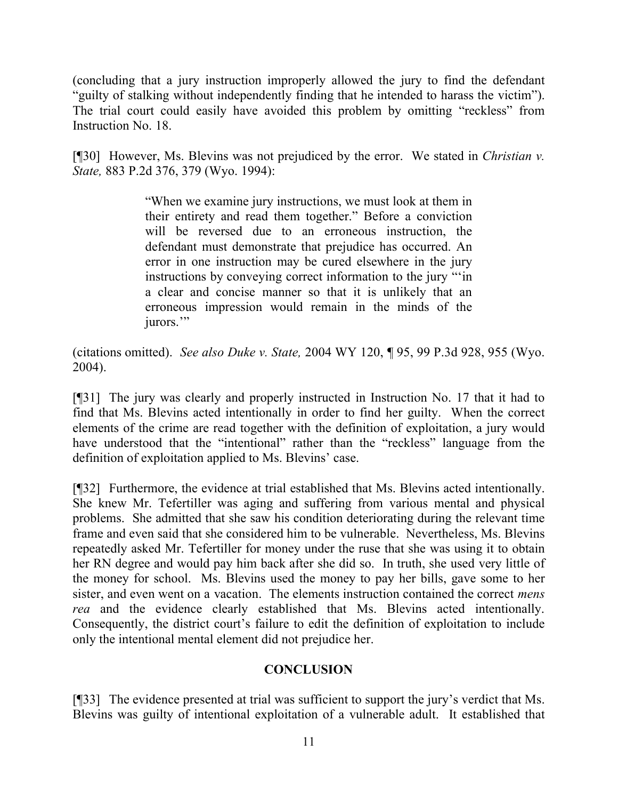(concluding that a jury instruction improperly allowed the jury to find the defendant "guilty of stalking without independently finding that he intended to harass the victim"). The trial court could easily have avoided this problem by omitting "reckless" from Instruction No. 18.

[¶30] However, Ms. Blevins was not prejudiced by the error. We stated in *Christian v. State,* 883 P.2d 376, 379 (Wyo. 1994):

> "When we examine jury instructions, we must look at them in their entirety and read them together." Before a conviction will be reversed due to an erroneous instruction, the defendant must demonstrate that prejudice has occurred. An error in one instruction may be cured elsewhere in the jury instructions by conveying correct information to the jury "'in a clear and concise manner so that it is unlikely that an erroneous impression would remain in the minds of the jurors."

(citations omitted). *See also Duke v. State,* 2004 WY 120, ¶ 95, 99 P.3d 928, 955 (Wyo. 2004).

[¶31] The jury was clearly and properly instructed in Instruction No. 17 that it had to find that Ms. Blevins acted intentionally in order to find her guilty. When the correct elements of the crime are read together with the definition of exploitation, a jury would have understood that the "intentional" rather than the "reckless" language from the definition of exploitation applied to Ms. Blevins' case.

[¶32] Furthermore, the evidence at trial established that Ms. Blevins acted intentionally. She knew Mr. Tefertiller was aging and suffering from various mental and physical problems. She admitted that she saw his condition deteriorating during the relevant time frame and even said that she considered him to be vulnerable. Nevertheless, Ms. Blevins repeatedly asked Mr. Tefertiller for money under the ruse that she was using it to obtain her RN degree and would pay him back after she did so. In truth, she used very little of the money for school. Ms. Blevins used the money to pay her bills, gave some to her sister, and even went on a vacation. The elements instruction contained the correct *mens rea* and the evidence clearly established that Ms. Blevins acted intentionally. Consequently, the district court's failure to edit the definition of exploitation to include only the intentional mental element did not prejudice her.

#### **CONCLUSION**

[¶33] The evidence presented at trial was sufficient to support the jury's verdict that Ms. Blevins was guilty of intentional exploitation of a vulnerable adult. It established that